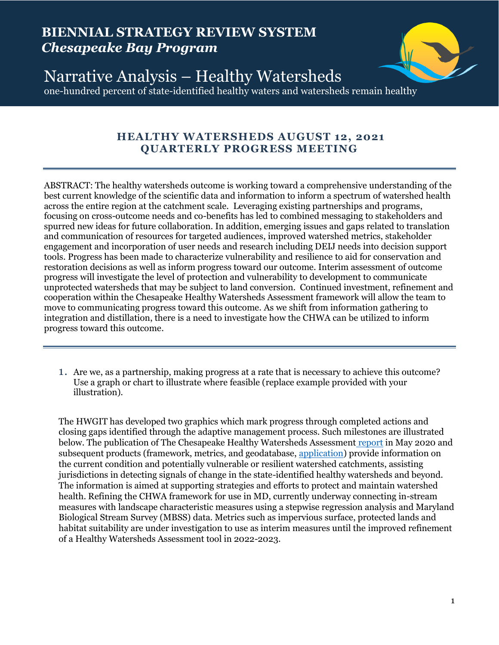# **BIENNIAL STRATEGY REVIEW SYSTEM** *Chesapeake Bay Program*



Narrative Analysis – Healthy Watersheds one-hundred percent of state-identified healthy waters and watersheds remain healthy

## **HEALTHY WATERSHEDS AUGUST 12, 2021 QUARTERLY PROGRESS MEETING**

ABSTRACT: The healthy watersheds outcome is working toward a comprehensive understanding of the best current knowledge of the scientific data and information to inform a spectrum of watershed health across the entire region at the catchment scale. Leveraging existing partnerships and programs, focusing on cross-outcome needs and co-benefits has led to combined messaging to stakeholders and spurred new ideas for future collaboration. In addition, emerging issues and gaps related to translation and communication of resources for targeted audiences, improved watershed metrics, stakeholder engagement and incorporation of user needs and research including DEIJ needs into decision support tools. Progress has been made to characterize vulnerability and resilience to aid for conservation and restoration decisions as well as inform progress toward our outcome. Interim assessment of outcome progress will investigate the level of protection and vulnerability to development to communicate unprotected watersheds that may be subject to land conversion. Continued investment, refinement and cooperation within the Chesapeake Healthy Watersheds Assessment framework will allow the team to move to communicating progress toward this outcome. As we shift from information gathering to integration and distillation, there is a need to investigate how the CHWA can be utilized to inform progress toward this outcome.

1. Are we, as a partnership, making progress at a rate that is necessary to achieve this outcome? Use a graph or chart to illustrate where feasible (replace example provided with your illustration).

The HWGIT has developed two graphics which mark progress through completed actions and closing gaps identified through the adaptive management process. Such milestones are illustrated below. The publication of The Chesapeake Healthy Watersheds Assessment [report](https://www.chesapeakebay.net/channel_files/26540/chesapeake_healthy_watersheds_assessment_report.pdf) in May 2020 and subsequent products (framework, metrics, and geodatabase, [application\)](https://gis.chesapeakebay.net/healthywatersheds/assessment/) provide information on the current condition and potentially vulnerable or resilient watershed catchments, assisting jurisdictions in detecting signals of change in the state-identified healthy watersheds and beyond. The information is aimed at supporting strategies and efforts to protect and maintain watershed health. Refining the CHWA framework for use in MD, currently underway connecting in-stream measures with landscape characteristic measures using a stepwise regression analysis and Maryland Biological Stream Survey (MBSS) data. Metrics such as impervious surface, protected lands and habitat suitability are under investigation to use as interim measures until the improved refinement of a Healthy Watersheds Assessment tool in 2022-2023.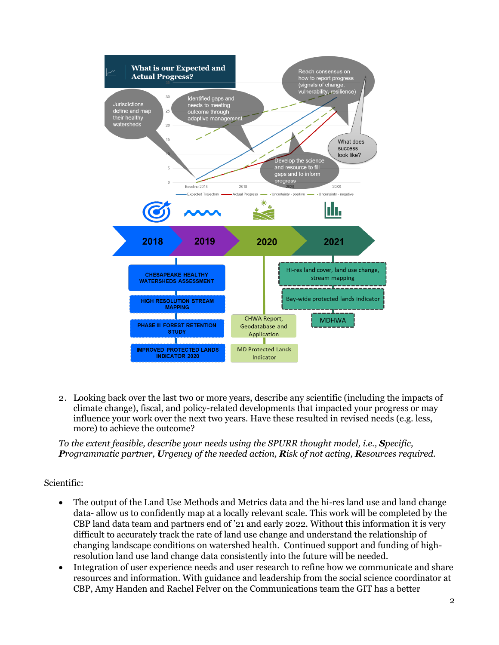

2. Looking back over the last two or more years, describe any scientific (including the impacts of climate change), fiscal, and policy-related developments that impacted your progress or may influence your work over the next two years. Have these resulted in revised needs (e.g. less, more) to achieve the outcome?

*To the extent feasible, describe your needs using the SPURR thought model, i.e., Specific, Programmatic partner, Urgency of the needed action, Risk of not acting, Resources required.*

### Scientific:

- The output of the Land Use Methods and Metrics data and the hi-res land use and land change data- allow us to confidently map at a locally relevant scale. This work will be completed by the CBP land data team and partners end of '21 and early 2022. Without this information it is very difficult to accurately track the rate of land use change and understand the relationship of changing landscape conditions on watershed health. Continued support and funding of highresolution land use land change data consistently into the future will be needed.
- Integration of user experience needs and user research to refine how we communicate and share resources and information. With guidance and leadership from the social science coordinator at CBP, Amy Handen and Rachel Felver on the Communications team the GIT has a better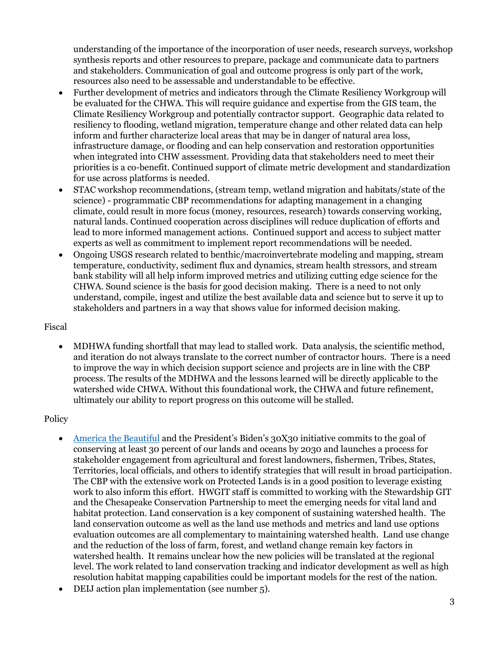understanding of the importance of the incorporation of user needs, research surveys, workshop synthesis reports and other resources to prepare, package and communicate data to partners and stakeholders. Communication of goal and outcome progress is only part of the work, resources also need to be assessable and understandable to be effective.

- Further development of metrics and indicators through the Climate Resiliency Workgroup will be evaluated for the CHWA. This will require guidance and expertise from the GIS team, the Climate Resiliency Workgroup and potentially contractor support. Geographic data related to resiliency to flooding, wetland migration, temperature change and other related data can help inform and further characterize local areas that may be in danger of natural area loss, infrastructure damage, or flooding and can help conservation and restoration opportunities when integrated into CHW assessment. Providing data that stakeholders need to meet their priorities is a co-benefit. Continued support of climate metric development and standardization for use across platforms is needed.
- STAC workshop recommendations, (stream temp, wetland migration and habitats/state of the science) - programmatic CBP recommendations for adapting management in a changing climate, could result in more focus (money, resources, research) towards conserving working, natural lands. Continued cooperation across disciplines will reduce duplication of efforts and lead to more informed management actions. Continued support and access to subject matter experts as well as commitment to implement report recommendations will be needed.
- Ongoing USGS research related to benthic/macroinvertebrate modeling and mapping, stream temperature, conductivity, sediment flux and dynamics, stream health stressors, and stream bank stability will all help inform improved metrics and utilizing cutting edge science for the CHWA. Sound science is the basis for good decision making. There is a need to not only understand, compile, ingest and utilize the best available data and science but to serve it up to stakeholders and partners in a way that shows value for informed decision making.

#### Fiscal

• MDHWA funding shortfall that may lead to stalled work. Data analysis, the scientific method, and iteration do not always translate to the correct number of contractor hours. There is a need to improve the way in which decision support science and projects are in line with the CBP process. The results of the MDHWA and the lessons learned will be directly applicable to the watershed wide CHWA. Without this foundational work, the CHWA and future refinement, ultimately our ability to report progress on this outcome will be stalled.

### **Policy**

- [America the Beautiful](https://www.doi.gov/sites/doi.gov/files/report-conserving-and-restoring-america-the-beautiful-2021.pdf) and the President's Biden's 30X30 initiative commits to the goal of conserving at least 30 percent of our lands and oceans by 2030 and launches a process for stakeholder engagement from agricultural and forest landowners, fishermen, Tribes, States, Territories, local officials, and others to identify strategies that will result in broad participation. The CBP with the extensive work on Protected Lands is in a good position to leverage existing work to also inform this effort. HWGIT staff is committed to working with the Stewardship GIT and the Chesapeake Conservation Partnership to meet the emerging needs for vital land and habitat protection. Land conservation is a key component of sustaining watershed health. The land conservation outcome as well as the land use methods and metrics and land use options evaluation outcomes are all complementary to maintaining watershed health. Land use change and the reduction of the loss of farm, forest, and wetland change remain key factors in watershed health. It remains unclear how the new policies will be translated at the regional level. The work related to land conservation tracking and indicator development as well as high resolution habitat mapping capabilities could be important models for the rest of the nation.
- DEIJ action plan implementation (see number 5).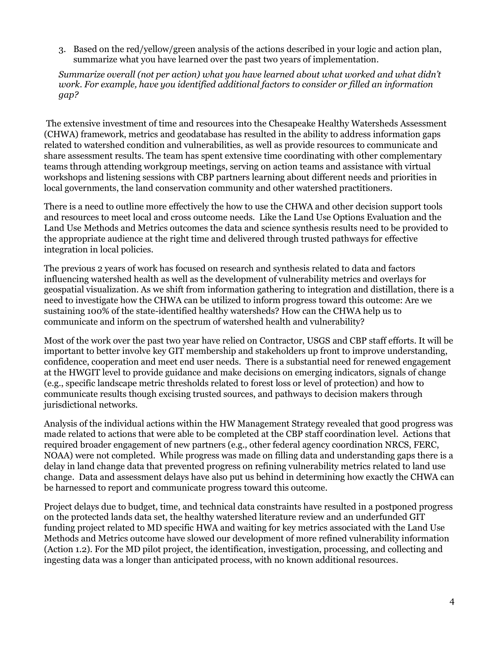3. Based on the red/yellow/green analysis of the actions described in your logic and action plan, summarize what you have learned over the past two years of implementation.

*Summarize overall (not per action) what you have learned about what worked and what didn't work. For example, have you identified additional factors to consider or filled an information gap?* 

The extensive investment of time and resources into the Chesapeake Healthy Watersheds Assessment (CHWA) framework, metrics and geodatabase has resulted in the ability to address information gaps related to watershed condition and vulnerabilities, as well as provide resources to communicate and share assessment results. The team has spent extensive time coordinating with other complementary teams through attending workgroup meetings, serving on action teams and assistance with virtual workshops and listening sessions with CBP partners learning about different needs and priorities in local governments, the land conservation community and other watershed practitioners.

There is a need to outline more effectively the how to use the CHWA and other decision support tools and resources to meet local and cross outcome needs. Like the Land Use Options Evaluation and the Land Use Methods and Metrics outcomes the data and science synthesis results need to be provided to the appropriate audience at the right time and delivered through trusted pathways for effective integration in local policies.

The previous 2 years of work has focused on research and synthesis related to data and factors influencing watershed health as well as the development of vulnerability metrics and overlays for geospatial visualization. As we shift from information gathering to integration and distillation, there is a need to investigate how the CHWA can be utilized to inform progress toward this outcome: Are we sustaining 100% of the state-identified healthy watersheds? How can the CHWA help us to communicate and inform on the spectrum of watershed health and vulnerability?

Most of the work over the past two year have relied on Contractor, USGS and CBP staff efforts. It will be important to better involve key GIT membership and stakeholders up front to improve understanding, confidence, cooperation and meet end user needs. There is a substantial need for renewed engagement at the HWGIT level to provide guidance and make decisions on emerging indicators, signals of change (e.g., specific landscape metric thresholds related to forest loss or level of protection) and how to communicate results though excising trusted sources, and pathways to decision makers through jurisdictional networks.

Analysis of the individual actions within the HW Management Strategy revealed that good progress was made related to actions that were able to be completed at the CBP staff coordination level. Actions that required broader engagement of new partners (e.g., other federal agency coordination NRCS, FERC, NOAA) were not completed. While progress was made on filling data and understanding gaps there is a delay in land change data that prevented progress on refining vulnerability metrics related to land use change. Data and assessment delays have also put us behind in determining how exactly the CHWA can be harnessed to report and communicate progress toward this outcome.

Project delays due to budget, time, and technical data constraints have resulted in a postponed progress on the protected lands data set, the healthy watershed literature review and an underfunded GIT funding project related to MD specific HWA and waiting for key metrics associated with the Land Use Methods and Metrics outcome have slowed our development of more refined vulnerability information (Action 1.2). For the MD pilot project, the identification, investigation, processing, and collecting and ingesting data was a longer than anticipated process, with no known additional resources.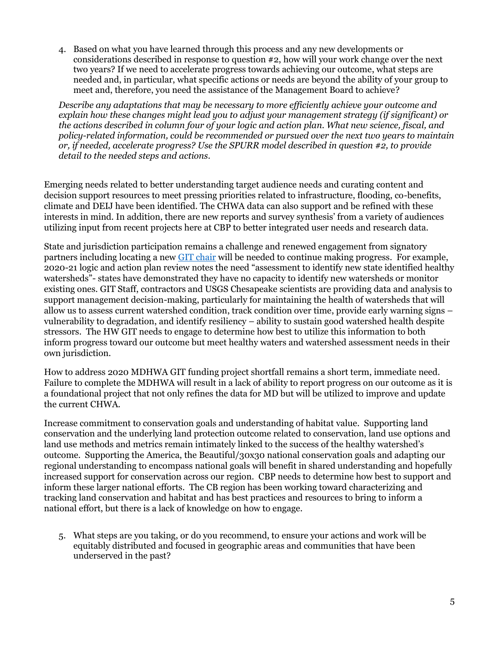4. Based on what you have learned through this process and any new developments or considerations described in response to question #2, how will your work change over the next two years? If we need to accelerate progress towards achieving our outcome, what steps are needed and, in particular, what specific actions or needs are beyond the ability of your group to meet and, therefore, you need the assistance of the Management Board to achieve?

*Describe any adaptations that may be necessary to more efficiently achieve your outcome and explain how these changes might lead you to adjust your management strategy (if significant) or the actions described in column four of your logic and action plan. What new science, fiscal, and policy-related information, could be recommended or pursued over the next two years to maintain or, if needed, accelerate progress? Use the SPURR model described in question #2, to provide detail to the needed steps and actions.*

Emerging needs related to better understanding target audience needs and curating content and decision support resources to meet pressing priorities related to infrastructure, flooding, co-benefits, climate and DEIJ have been identified. The CHWA data can also support and be refined with these interests in mind. In addition, there are new reports and survey synthesis' from a variety of audiences utilizing input from recent projects here at CBP to better integrated user needs and research data.

State and jurisdiction participation remains a challenge and renewed engagement from signatory partners including locating a new [GIT chair](https://www.chesapeakebay.net/channel_files/43134/062421_chair_position.pdf) will be needed to continue making progress. For example, 2020-21 logic and action plan review notes the need "assessment to identify new state identified healthy watersheds"- states have demonstrated they have no capacity to identify new watersheds or monitor existing ones. GIT Staff, contractors and USGS Chesapeake scientists are providing data and analysis to support management decision-making, particularly for maintaining the health of watersheds that will allow us to assess current watershed condition, track condition over time, provide early warning signs – vulnerability to degradation, and identify resiliency – ability to sustain good watershed health despite stressors. The HW GIT needs to engage to determine how best to utilize this information to both inform progress toward our outcome but meet healthy waters and watershed assessment needs in their own jurisdiction.

How to address 2020 MDHWA GIT funding project shortfall remains a short term, immediate need. Failure to complete the MDHWA will result in a lack of ability to report progress on our outcome as it is a foundational project that not only refines the data for MD but will be utilized to improve and update the current CHWA.

Increase commitment to conservation goals and understanding of habitat value. Supporting land conservation and the underlying land protection outcome related to conservation, land use options and land use methods and metrics remain intimately linked to the success of the healthy watershed's outcome. Supporting the America, the Beautiful/30x30 national conservation goals and adapting our regional understanding to encompass national goals will benefit in shared understanding and hopefully increased support for conservation across our region. CBP needs to determine how best to support and inform these larger national efforts. The CB region has been working toward characterizing and tracking land conservation and habitat and has best practices and resources to bring to inform a national effort, but there is a lack of knowledge on how to engage.

5. What steps are you taking, or do you recommend, to ensure your actions and work will be equitably distributed and focused in geographic areas and communities that have been underserved in the past?